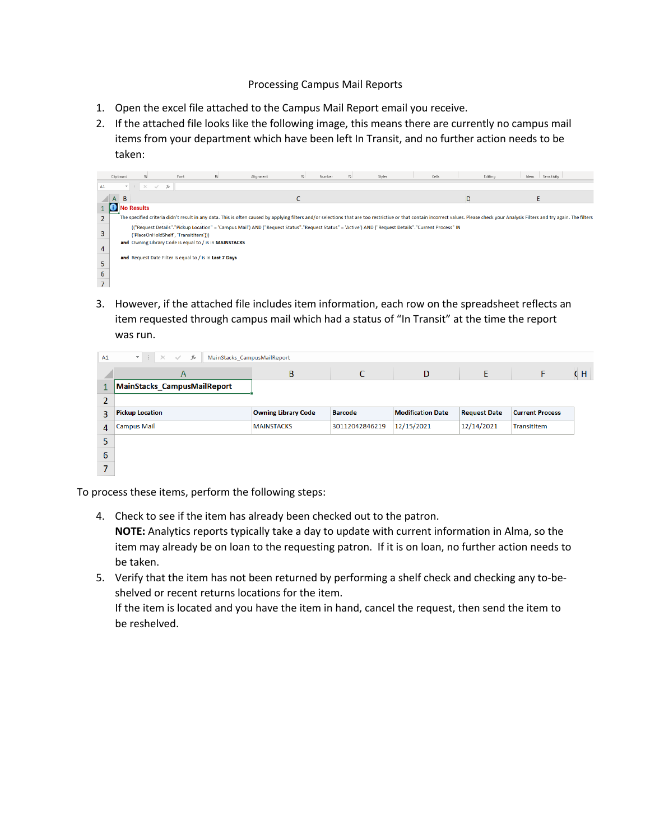## Processing Campus Mail Reports

- 1. Open the excel file attached to the Campus Mail Report email you receive.
- 2. If the attached file looks like the following image, this means there are currently no campus mail items from your department which have been left In Transit, and no further action needs to be taken:



3. However, if the attached file includes item information, each row on the spreadsheet reflects an item requested through campus mail which had a status of "In Transit" at the time the report was run.

| A1             | 40 F<br>$\times$<br>fx<br>MainStacks CampusMailReport<br>$\overline{\phantom{a}}$<br>$\checkmark$ |                            |                |                          |                     |                        |     |  |  |  |  |  |  |
|----------------|---------------------------------------------------------------------------------------------------|----------------------------|----------------|--------------------------|---------------------|------------------------|-----|--|--|--|--|--|--|
|                | A                                                                                                 | B                          |                | D                        | E                   |                        | C H |  |  |  |  |  |  |
| 1              | <b>MainStacks CampusMailReport</b>                                                                |                            |                |                          |                     |                        |     |  |  |  |  |  |  |
| $\overline{2}$ |                                                                                                   |                            |                |                          |                     |                        |     |  |  |  |  |  |  |
| 3              | <b>Pickup Location</b>                                                                            | <b>Owning Library Code</b> | <b>Barcode</b> | <b>Modification Date</b> | <b>Request Date</b> | <b>Current Process</b> |     |  |  |  |  |  |  |
| 4              | <b>Campus Mail</b>                                                                                | <b>MAINSTACKS</b>          | 30112042846219 | 12/15/2021               | 12/14/2021          | TransitItem            |     |  |  |  |  |  |  |
| 5              |                                                                                                   |                            |                |                          |                     |                        |     |  |  |  |  |  |  |
| 6              |                                                                                                   |                            |                |                          |                     |                        |     |  |  |  |  |  |  |
| ⇁              |                                                                                                   |                            |                |                          |                     |                        |     |  |  |  |  |  |  |

To process these items, perform the following steps:

- 4. Check to see if the item has already been checked out to the patron. **NOTE:** Analytics reports typically take a day to update with current information in Alma, so the item may already be on loan to the requesting patron. If it is on loan, no further action needs to be taken.
- 5. Verify that the item has not been returned by performing a shelf check and checking any to-beshelved or recent returns locations for the item. If the item is located and you have the item in hand, cancel the request, then send the item to be reshelved.